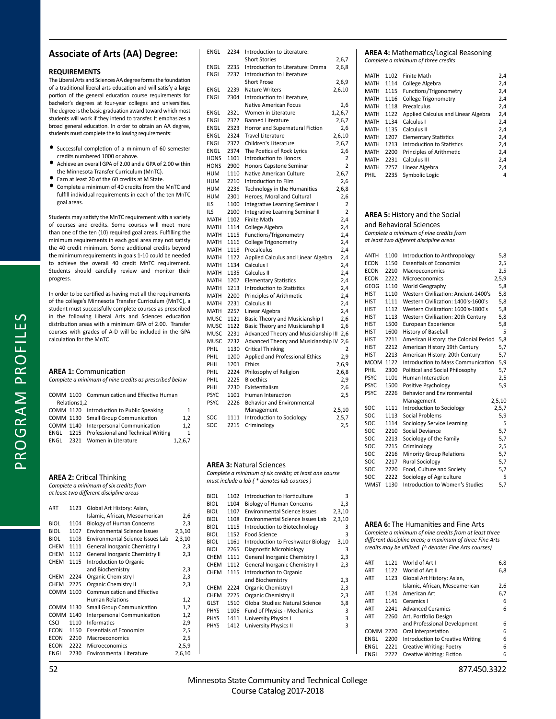# **Associate of Arts (AA) Degree:**

## **REQUIREMENTS**

The Liberal Arts and Sciences AA degree forms the foundation of a traditional liberal arts education and will satisfy a large portion of the general education course requirements for bachelor's degrees at four-year colleges and universities. The degree is the basic graduation award toward which most students will work if they intend to transfer. It emphasizes a broad general education. In order to obtain an AA degree, students must complete the following requirements:

- Successful completion of a minimum of 60 semester credits numbered 1000 or above.
- Achieve an overall GPA of 2.00 and a GPA of 2.00 within the Minnesota Transfer Curriculum (MnTC).
- Earn at least 20 of the 60 credits at M State.
- Complete a minimum of 40 credits from the MnTC and fulfill individual requirements in each of the ten MnTC goal areas.

Students may satisfy the MnTC requirement with a variety of courses and credits. Some courses will meet more than one of the ten (10) required goal areas. Fulfilling the minimum requirements in each goal area may not satisfy the 40 credit minimum. Some additional credits beyond the minimum requirements in goals 1-10 could be needed to achieve the overall 40 credit MnTC requirement. Students should carefully review and monitor their progress.

In order to be certified as having met all the requirements of the college's Minnesota Transfer Curriculum (MnTC), a student must successfully complete courses as prescribed in the following Liberal Arts and Sciences education distribution areas with a minimum GPA of 2.00. Transfer courses with grades of A-D will be included in the GPA calculation for the MnTC

## **AREA 1:** Communication

PROGRAM PROFILES

PROGRAM PROFILES

*Complete a minimum of nine credits as prescribed below*

|              | COMM 1100 Communication and Effective Human  |              |
|--------------|----------------------------------------------|--------------|
| Relations1,2 |                                              |              |
|              | COMM 1120 Introduction to Public Speaking    | 1            |
|              | COMM 1130 Small Group Communication          | 1,2          |
|              | COMM 1140 Interpersonal Communication        | 1.2          |
|              | ENGL 1215 Professional and Technical Writing | $\mathbf{1}$ |
|              | ENGL 2321 Women in Literature                | 1,2,6,7      |

### **AREA 2:** Critical Thinking

*Complete a minimum of six credits from at least two different discipline areas*

| ART         | 1123 | Global Art History: Asian,          |        |
|-------------|------|-------------------------------------|--------|
|             |      | Islamic, African, Mesoamerican      | 2,6    |
| <b>BIOL</b> | 1104 | <b>Biology of Human Concerns</b>    | 2,3    |
| <b>BIOL</b> | 1107 | <b>Environmental Science Issues</b> | 2,3,10 |
| <b>BIOL</b> | 1108 | Environmental Science Issues Lab    | 2,3,10 |
| <b>CHEM</b> | 1111 | General Inorganic Chemistry I       | 2,3    |
| <b>CHEM</b> | 1112 | General Inorganic Chemistry II      | 2,3    |
| <b>CHEM</b> | 1115 | Introduction to Organic             |        |
|             |      | and Biochemistry                    | 2,3    |
| <b>CHEM</b> | 2224 | <b>Organic Chemistry I</b>          | 2,3    |
| <b>CHEM</b> | 2225 | Organic Chemistry II                | 2,3    |
| COMM        | 1100 | <b>Communication and Effective</b>  |        |
|             |      | Human Relations                     | 1,2    |
| COMM        | 1130 | <b>Small Group Communication</b>    | 1,2    |
| COMM        | 1140 | Interpersonal Communication         | 1,2    |
| <b>CSCI</b> | 1110 | Informatics                         | 2,9    |
| ECON        | 1150 | <b>Essentials of Economics</b>      | 2,5    |
| ECON        | 2210 | Macroeconomics                      | 2,5    |
| ECON        | 2222 | Microeconomics                      | 2,5,9  |
| ENGL        | 2230 | <b>Environmental Literature</b>     | 2,6,10 |

| ENGL        | 2234 | Introduction to Literature:          |                |
|-------------|------|--------------------------------------|----------------|
|             |      | <b>Short Stories</b>                 | 2,6,7          |
| ENGL        | 2235 | Introduction to Literature: Drama    | 2,6,8          |
| ENGL        | 2237 | Introduction to Literature:          |                |
|             |      | Short Prose                          | 2,6,9          |
| ENGL        | 2239 | <b>Nature Writers</b>                | 2,6,10         |
| ENGL        | 2304 | Introduction to Literature,          |                |
|             |      | Native American Focus                | 2,6            |
| ENGL        | 2321 | Women in Literature                  | 1,2,6,7        |
| ENGL        | 2322 | <b>Banned Literature</b>             | 2,6,7          |
| ENGL        | 2323 | Horror and Supernatural Fiction      | 2,6            |
| ENGL        | 2324 | <b>Travel Literature</b>             | 2,6,10         |
| ENGL        | 2372 | Children's Literature                | 2,6,7          |
| ENGL        | 2374 | The Poetics of Rock Lyrics           | 2,6            |
| <b>HONS</b> | 1101 | Introduction to Honors               | $\overline{2}$ |
| <b>HONS</b> | 2900 | Honors Capstone Seminar              | $\overline{2}$ |
| HUM         | 1110 | Native American Culture              | 2,6,7          |
| <b>HUM</b>  | 2210 | Introduction to Film                 | 2,6            |
| HUM         | 2236 | Technology in the Humanities         | 2,6,8          |
| <b>HUM</b>  | 2301 | Heroes, Moral and Cultural           | 2,6            |
| ils         | 1100 | Integrative Learning Seminar I       | 2              |
| ILS         | 2100 | Integrative Learning Seminar II      | $\overline{2}$ |
| MATH        | 1102 | <b>Finite Math</b>                   | 2,4            |
| <b>MATH</b> | 1114 | College Algebra                      | 2,4            |
| MATH        | 1115 | Functions/Trigonometry               | 2,4            |
| <b>MATH</b> | 1116 | College Trigonometry                 | 2,4            |
| MATH        | 1118 | Precalculus                          | 2,4            |
| <b>MATH</b> | 1122 | Applied Calculus and Linear Algebra  | 2,4            |
| MATH        | 1134 | Calculus I                           | 2,4            |
| <b>MATH</b> | 1135 | Calculus II                          | 2,4            |
| <b>MATH</b> | 1207 | <b>Elementary Statistics</b>         | 2,4            |
| MATH        | 1213 | <b>Introduction to Statistics</b>    | 2,4            |
| <b>MATH</b> | 2200 | Principles of Arithmetic             | 2,4            |
| MATH        | 2231 | Calculus III                         | 2,4            |
| <b>MATH</b> | 2257 | Linear Algebra                       | 2,4            |
| MUSC        | 1121 | Basic Theory and Musicianship I      | 2,6            |
| MUSC        | 1122 | Basic Theory and Musicianship II     | 2,6            |
| MUSC        | 2231 | Advanced Theory and Musicianship III | 2,6            |
| MUSC        | 2232 | Advanced Theory and Musicianship IV  | 2,6            |
| PHIL        | 1130 | <b>Critical Thinking</b>             | 2              |
| PHIL        | 1200 | Applied and Professional Ethics      | 2,9            |
| PHIL        | 1201 | Ethics                               | 2,6,9          |
| PHIL        | 2224 | Philosophy of Religion               | 2,6,8          |
| PHIL        | 2225 | <b>Bioethics</b>                     | 2,9            |
| PHIL        | 2230 | Existentialism                       | 2,6            |
| <b>PSYC</b> | 1101 | <b>Human Interaction</b>             | 2,5            |
| <b>PSYC</b> | 2226 | <b>Behavior and Environmental</b>    |                |
|             |      | Management                           | 2,5,10         |
| SOC         | 1111 | Introduction to Sociology            | 2,5,7          |
| SOC         | 2215 | Criminology                          | 2,5            |
|             |      |                                      |                |

#### **AREA 3:** Natural Sciences

*Complete a minimum of six credits; at least one course must include a lab ( \* denotes lab courses )*

| <b>BIOL</b> | 1102 | Introduction to Horticulture            | 3      |
|-------------|------|-----------------------------------------|--------|
| <b>BIOL</b> | 1104 | <b>Biology of Human Concerns</b>        | 2,3    |
| <b>BIOL</b> | 1107 | <b>Environmental Science Issues</b>     | 2,3,10 |
| <b>BIOL</b> | 1108 | <b>Environmental Science Issues Lab</b> | 2,3,10 |
| <b>BIOL</b> | 1115 | Introduction to Biotechnology           | 3      |
| <b>BIOL</b> | 1152 | Food Science                            | 3      |
| <b>BIOL</b> | 1161 | Introduction to Freshwater Biology      | 3,10   |
| <b>BIOL</b> | 2265 | Diagnostic Microbiology                 | 3      |
| <b>CHEM</b> | 1111 | General Inorganic Chemistry I           | 2,3    |
| <b>CHEM</b> | 1112 | General Inorganic Chemistry II          | 2,3    |
| <b>CHEM</b> | 1115 | Introduction to Organic                 |        |
|             |      | and Biochemistry                        | 2,3    |
| <b>CHEM</b> | 2224 | Organic Chemistry I                     | 2,3    |
| <b>CHEM</b> | 2225 | <b>Organic Chemistry II</b>             | 2,3    |
| GLST        | 1510 | Global Studies: Natural Science         | 3,8    |
| <b>PHYS</b> | 1106 | Fund of Physics - Mechanics             | 3      |
| <b>PHYS</b> | 1411 | University Physics I                    | 3      |
| <b>PHYS</b> | 1412 | University Physics II                   | 3      |
|             |      |                                         |        |
|             |      |                                         |        |
|             |      |                                         |        |

#### **AREA 4:** Mathematics/Logical Reasoning *Complete a minimum of three credits*

| <b>MATH</b> | 1102 | <b>Finite Math</b>                  | 2,4 |
|-------------|------|-------------------------------------|-----|
| <b>MATH</b> | 1114 | College Algebra                     | 2,4 |
| <b>MATH</b> | 1115 | Functions/Trigonometry              | 2,4 |
| <b>MATH</b> | 1116 | College Trigonometry                | 2,4 |
| <b>MATH</b> | 1118 | Precalculus                         | 2,4 |
| <b>MATH</b> | 1122 | Applied Calculus and Linear Algebra | 2,4 |
| <b>MATH</b> | 1134 | Calculus I                          | 2,4 |
| <b>MATH</b> | 1135 | Calculus II                         | 2,4 |
| <b>MATH</b> | 1207 | <b>Elementary Statistics</b>        | 2,4 |
| <b>MATH</b> | 1213 | Introduction to Statistics          | 2,4 |
| <b>MATH</b> | 2200 | Principles of Arithmetic            | 2,4 |
| <b>MATH</b> | 2231 | Calculus III                        | 2,4 |
| <b>MATH</b> | 2257 | Linear Algebra                      | 2,4 |
| PHIL        | 2235 | Symbolic Logic                      | 4   |

# **AREA 5:** History and the Social

and Behavioral Sciences *Complete a minimum of nine credits from at least two different discipline areas* ANTH 1100 Introduction to Anthropology 5,8<br>ECON 1150 Essentials of Economics 2,5 Essentials of Economics ECON 2210 Macroeconomics 2,5<br>
ECON 2222 Microeconomics 2,5,9 Microeconomics GEOG 1110 World Geography 5,8 HIST 1110 Western Civilization: Ancient-1400's 5,8 HIST 1111 Western Civilization: 1400's-1600's 5,8 HIST 1112 Western Civilization: 1600's-1800's 5,8<br>HIST 1113 Western Civilization: 20th Century 5,8 HIST 1113 Western Civilization: 20th Century 5,8<br>HIST 1500 European Experience 5,8 1500 European Experience HIST 1600 History of Baseball 5 HIST 2211 American History: the Colonial Period 5,8 HIST 2212 American History 19th Century 5,7<br>HIST 2213 American History: 20th Century 5.7 American History: 20th Century 5,7<br>Introduction to Mass Communication 5,9 MCOM 1122 Introduction to Mass Communication PHIL 2300 Political and Social Philosophy 5,7 PSYC 1101 Human Interaction 2,5 PSYC 1500 Positive Psychology 5,9<br>PSYC 2226 Behavior and Environmental Behavior and Environmental Management 2,5,10 SOC 1111 Introduction to Sociology 2,5,7 SOC 1113 Social Problems 5,9 SOC 1114 Sociology Service Learning 5<br>
SOC 2210 Social Deviance 5,7 SOC 2210 Social Deviance 5,7<br>SOC 2213 Sociology of the Family 5,7 2213 Sociology of the Family SOC 2215 Criminology 2,5 SOC 2216 Minority Group Relations 5.7 SOC 2217 Rural Sociology 6,7<br>SOC 2220 Food, Culture and Society 5,7 Food, Culture and Society 5,7<br>Sociology of Agriculture 5 SOC 2222 Sociology of Agriculture WMST 1130 Introduction to Women's Studies 5,7

# **AREA 6:** The Humanities and Fine Arts

*Complete a minimum of nine credits from at least three different discipline areas; a maximum of three Fine Arts credits may be utilized (^ denotes Fine Arts courses)* 

| ART              | 1121 | World of Art I                   | 6,8 |
|------------------|------|----------------------------------|-----|
| ART              | 1122 | World of Art II                  | 6,8 |
| ART              | 1123 | Global Art History: Asian,       |     |
|                  |      | Islamic, African, Mesoamerican   | 2,6 |
| ART              | 1124 | American Art                     | 6,7 |
| ART              | 1141 | Ceramics I                       | 6   |
| ART              | 2241 | <b>Advanced Ceramics</b>         | 6   |
| ART              | 2260 | Art, Portfolio Design            |     |
|                  |      | and Professional Development     | 6   |
| <b>COMM 2220</b> |      | Oral Interpretation              | 6   |
| ENGL             | 2200 | Introduction to Creative Writing | 6   |
| ENGL             | 2221 | Creative Writing: Poetry         | 6   |
| ENGL             | 2222 | <b>Creative Writing: Fiction</b> | 6   |
|                  |      |                                  |     |